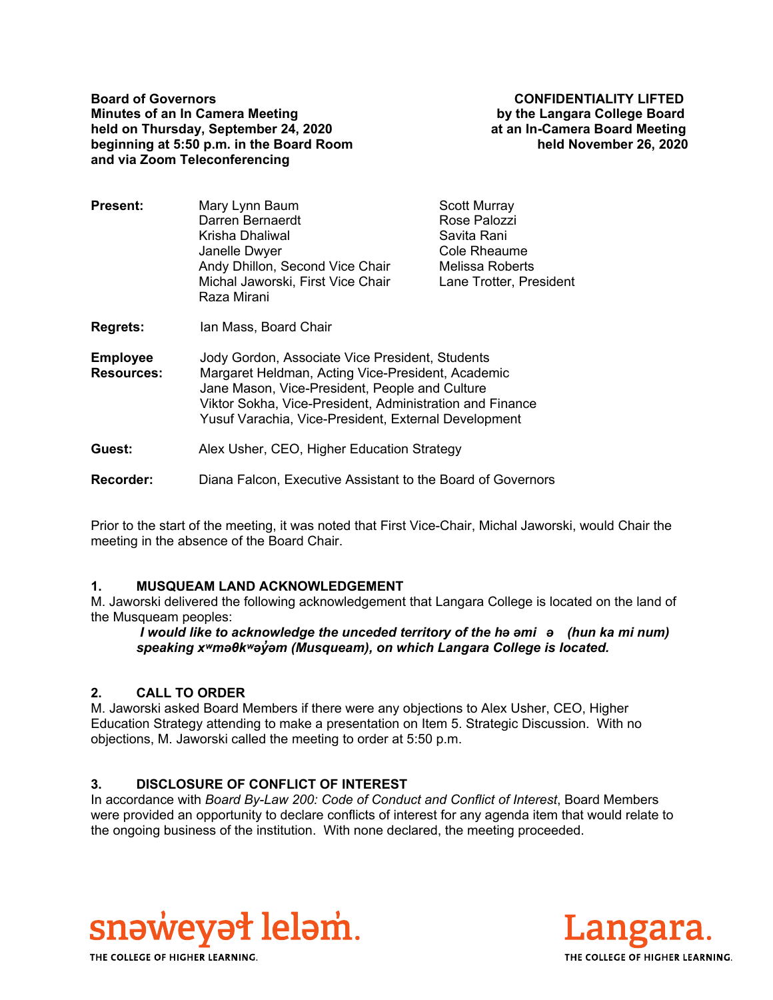**Board of Governors CONFIDENTIALITY LIFTED Minutes of an In Camera Meeting by the Langara College Board held on Thursday, September 24, 2020 at an In-Camera Board Meeting beginning at 5:50 p.m. in the Board Room held November 26, 2020 and via Zoom Teleconferencing** 

| Present:        | Mary Lynn Baum                                   | <b>Scott Murray</b>     |
|-----------------|--------------------------------------------------|-------------------------|
|                 | Darren Bernaerdt                                 | Rose Palozzi            |
|                 | Krisha Dhaliwal                                  | Savita Rani             |
|                 | Janelle Dwyer                                    | Cole Rheaume            |
|                 | Andy Dhillon, Second Vice Chair                  | Melissa Roberts         |
|                 | Michal Jaworski, First Vice Chair<br>Raza Mirani | Lane Trotter, President |
| <b>Regrets:</b> | Ian Mass, Board Chair                            |                         |
|                 |                                                  |                         |

**Employee Resources:**  Jody Gordon, Associate Vice President, Students Margaret Heldman, Acting Vice-President, Academic Jane Mason, Vice-President, People and Culture Viktor Sokha, Vice-President, Administration and Finance Yusuf Varachia, Vice-President, External Development

**Guest:** Alex Usher, CEO, Higher Education Strategy

**Recorder:** Diana Falcon, Executive Assistant to the Board of Governors

Prior to the start of the meeting, it was noted that First Vice-Chair, Michal Jaworski, would Chair the meeting in the absence of the Board Chair.

# **1. MUSQUEAM LAND ACKNOWLEDGEMENT**

M. Jaworski delivered the following acknowledgement that Langara College is located on the land of the Musqueam peoples:

 *I would like to acknowledge the unceded territory of the hә әmiә (hun ka mi num) speaking xʷmәθkʷәy̓әm (Musqueam), on which Langara College is located.*

# **2. CALL TO ORDER**

M. Jaworski asked Board Members if there were any objections to Alex Usher, CEO, Higher Education Strategy attending to make a presentation on Item 5. Strategic Discussion. With no objections, M. Jaworski called the meeting to order at 5:50 p.m.

# **3. DISCLOSURE OF CONFLICT OF INTEREST**

In accordance with *Board By-Law 200: Code of Conduct and Conflict of Interest*, Board Members were provided an opportunity to declare conflicts of interest for any agenda item that would relate to the ongoing business of the institution. With none declared, the meeting proceeded.





THE COLLEGE OF HIGHER LEARNING.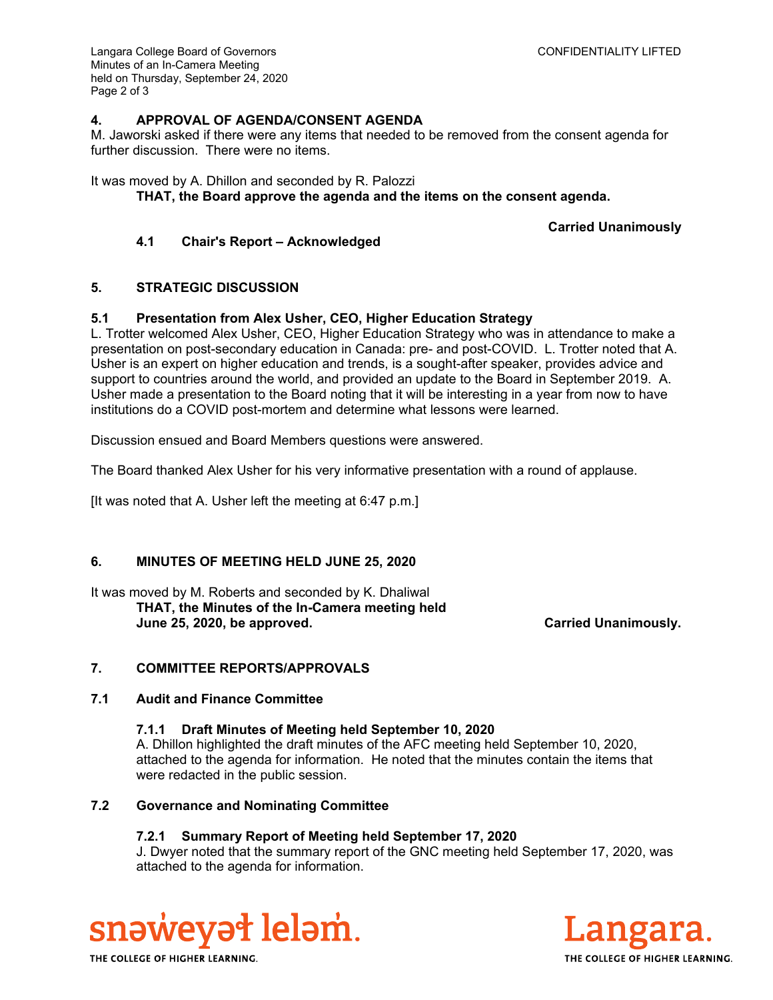Langara College Board of Governors CONFIDENTIALITY LIFTED Minutes of an In-Camera Meeting held on Thursday, September 24, 2020 Page 2 of 3

# **4. APPROVAL OF AGENDA/CONSENT AGENDA**

M. Jaworski asked if there were any items that needed to be removed from the consent agenda for further discussion. There were no items.

# It was moved by A. Dhillon and seconded by R. Palozzi

**THAT, the Board approve the agenda and the items on the consent agenda.** 

**Carried Unanimously**

# **4.1 Chair's Report – Acknowledged**

# **5. STRATEGIC DISCUSSION**

# **5.1 Presentation from Alex Usher, CEO, Higher Education Strategy**

L. Trotter welcomed Alex Usher, CEO, Higher Education Strategy who was in attendance to make a presentation on post-secondary education in Canada: pre- and post-COVID. L. Trotter noted that A. Usher is an expert on higher education and trends, is a sought-after speaker, provides advice and support to countries around the world, and provided an update to the Board in September 2019. A. Usher made a presentation to the Board noting that it will be interesting in a year from now to have institutions do a COVID post-mortem and determine what lessons were learned.

Discussion ensued and Board Members questions were answered.

The Board thanked Alex Usher for his very informative presentation with a round of applause.

[It was noted that A. Usher left the meeting at 6:47 p.m.]

# **6. MINUTES OF MEETING HELD JUNE 25, 2020**

It was moved by M. Roberts and seconded by K. Dhaliwal **THAT, the Minutes of the In-Camera meeting held June 25, 2020, be approved. Carried Unanimously.** 

# **7. COMMITTEE REPORTS/APPROVALS**

# **7.1 Audit and Finance Committee**

#### **7.1.1 Draft Minutes of Meeting held September 10, 2020**

A. Dhillon highlighted the draft minutes of the AFC meeting held September 10, 2020, attached to the agenda for information. He noted that the minutes contain the items that were redacted in the public session.

# **7.2 Governance and Nominating Committee**

# **7.2.1 Summary Report of Meeting held September 17, 2020**

J. Dwyer noted that the summary report of the GNC meeting held September 17, 2020, was attached to the agenda for information.





THE COLLEGE OF HIGHER LEARNING.